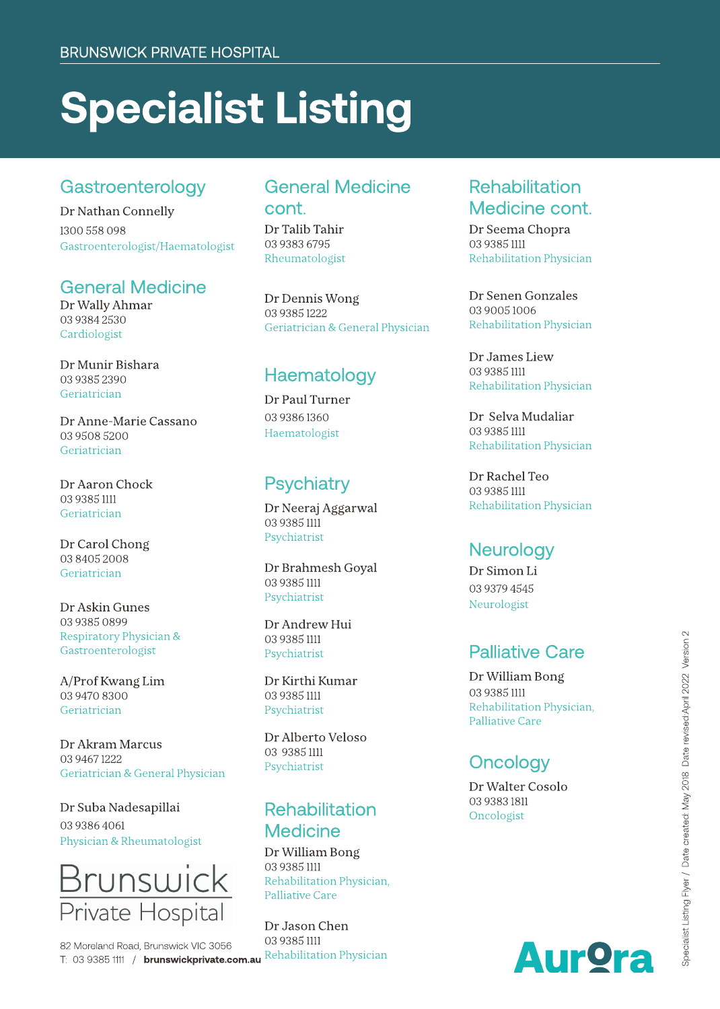# **Specialist Listing**

#### Gastroenterology

Dr Nathan Connelly 13 0 0 5 5 8 0 9 8 Gastroenterologist/Haematologist

#### General Medicine

Dr Wally Ahmar 03 9384 2530 **Cardiologist** 

Dr Munir Bishara 03 9385 2390 **Geriatrician** 

Dr Anne-Marie Cassano 03 9508 5200 **Geriatrician** 

Dr Aaron Chock 03 9385 1111 **Geriatrician** 

Dr Carol Chong 03 8405 2008 **Geriatrician** 

Dr Askin Gunes 03 9385 0899 Respiratory Physician & Gastroenterologist

A/Prof Kwang Lim 03 9470 8300 **Geriatrician** 

Dr Akram Marcus 03 9467 1222 Geriatrician & General Physician

Dr Suba Nadesapillai 0393864061 Physician & Rheumatolo gist



T: 03 9385 1111 / brunswickprivate.com.au Rehabilitation Physician 82 Moreland Road, Brunswick VIC 3056

#### General Medicine cont.

Dr Talib Tahir 03 9383 6795 Rheumatologist

Dr Dennis Wong 03 9385 1222 Geriatrician & General Physician

#### Haematology

Dr Paul Turner 03 9386 1360 Haematologist

### Psychiatry

Dr Neeraj Aggarwal 0393851111 Psychiatrist

Dr Brahmesh Goyal 0393851111 Psychiatrist

Dr Andrew Hui 0393851111 Psychiatrist

Dr Kirthi Kumar 0393851111 Psychiatrist

Dr Alberto Veloso 03 93851111 Psychiatrist

# **Rehabilitation Medicine**

Dr William Bong 0393851111 Rehabilitation Physicia n , Palliative Care

Dr Jason Chen 03 9385 1111

#### Rehabilitation Medicine cont.

Dr Seema Chopra 03 9385 1111 Rehabilitation Physician

Dr Senen Gonzales 03 9005 1006 Rehabilitation Physician

Dr James Liew 03 9385 1111 Rehabilitation Physician

Dr Selva Mudaliar 0 3 9 3 8 5 1 1 1 1 Re h a bilit atio n P h y sicia n

Dr Rachel Teo 03 9385 1111 Rehabilitation Physician

#### Neurology

D r Sim o n Li 0393794545 Neurologist

#### Palliative Care

Dr William Bong 03 9385 1111 Re h a bilit atio n P h y sicia n , Palliative Care

# Oncology

Dr Walter Cosolo 0 3 9 3 8 3 18 1 1 Oncologist